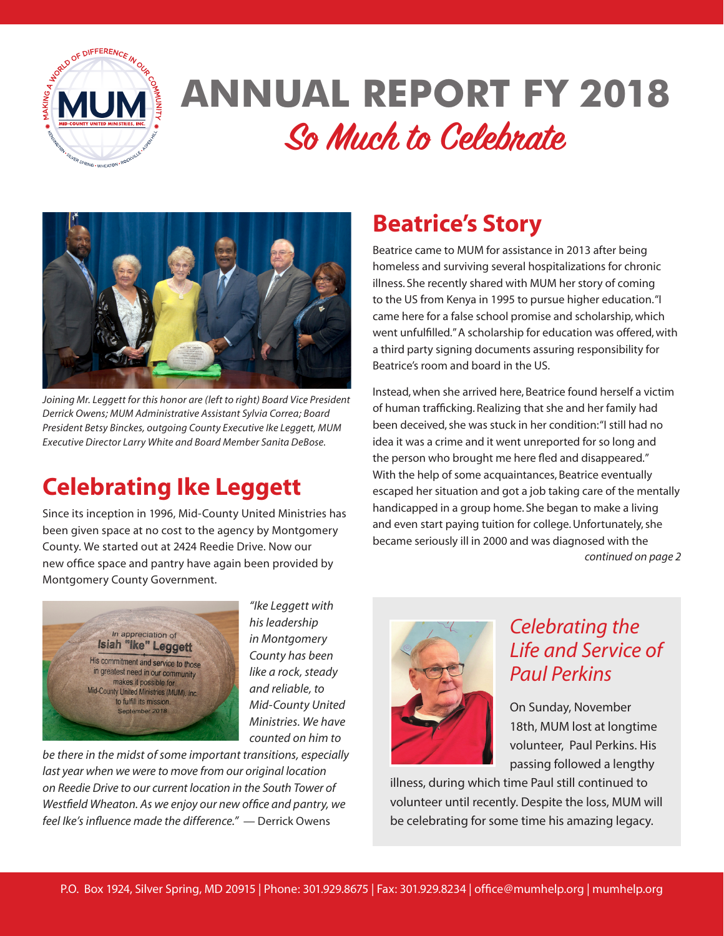

# **ANNUAL REPORT FY 2018 So Much to Celebrate**



*Joining Mr. Leggett for this honor are (left to right) Board Vice President Derrick Owens; MUM Administrative Assistant Sylvia Correa; Board President Betsy Binckes, outgoing County Executive Ike Leggett, MUM Executive Director Larry White and Board Member Sanita DeBose.*

# **Celebrating Ike Leggett**

Since its inception in 1996, Mid-County United Ministries has been given space at no cost to the agency by Montgomery County. We started out at 2424 Reedie Drive. Now our new office space and pantry have again been provided by Montgomery County Government.



*"Ike Leggett with his leadership in Montgomery County has been like a rock, steady and reliable, to Mid-County United Ministries. We have counted on him to* 

*be there in the midst of some important transitions, especially last year when we were to move from our original location on Reedie Drive to our current location in the South Tower of Westfield Wheaton. As we enjoy our new office and pantry, we feel Ike's influence made the difference."* — Derrick Owens

## **Beatrice's Story**

Beatrice came to MUM for assistance in 2013 after being homeless and surviving several hospitalizations for chronic illness. She recently shared with MUM her story of coming to the US from Kenya in 1995 to pursue higher education. "I came here for a false school promise and scholarship, which went unfulfilled." A scholarship for education was offered, with a third party signing documents assuring responsibility for Beatrice's room and board in the US.

Instead, when she arrived here, Beatrice found herself a victim of human trafficking. Realizing that she and her family had been deceived, she was stuck in her condition: "I still had no idea it was a crime and it went unreported for so long and the person who brought me here fled and disappeared." With the help of some acquaintances, Beatrice eventually escaped her situation and got a job taking care of the mentally handicapped in a group home. She began to make a living and even start paying tuition for college. Unfortunately, she became seriously ill in 2000 and was diagnosed with the *continued on page 2*



### *Celebrating the Life and Service of Paul Perkins*

On Sunday, November 18th, MUM lost at longtime volunteer, Paul Perkins. His passing followed a lengthy

illness, during which time Paul still continued to volunteer until recently. Despite the loss, MUM will be celebrating for some time his amazing legacy.